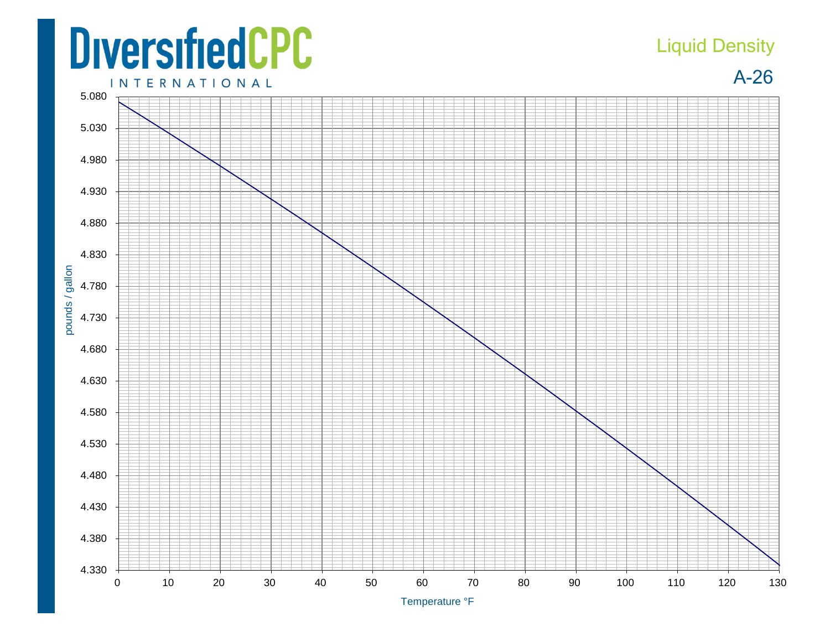## **DiversifiedCPC INTERNATIONAL**

## Liquid Density

A-26